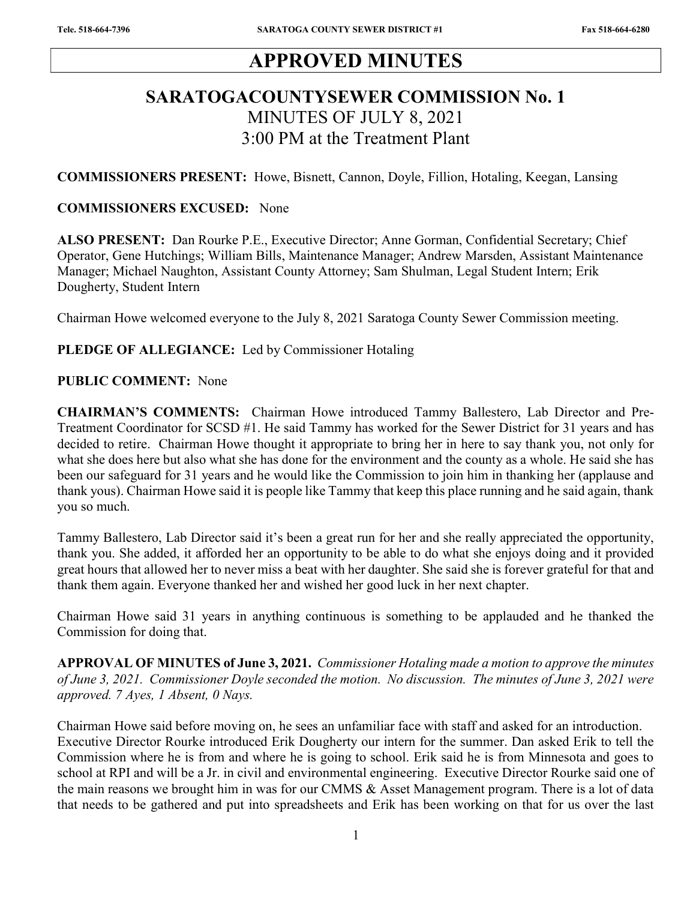# APPROVED MINUTES

## SARATOGACOUNTYSEWER COMMISSION No. 1 MINUTES OF JULY 8, 2021 3:00 PM at the Treatment Plant

COMMISSIONERS PRESENT: Howe, Bisnett, Cannon, Doyle, Fillion, Hotaling, Keegan, Lansing

#### COMMISSIONERS EXCUSED: None

ALSO PRESENT: Dan Rourke P.E., Executive Director; Anne Gorman, Confidential Secretary; Chief Operator, Gene Hutchings; William Bills, Maintenance Manager; Andrew Marsden, Assistant Maintenance Manager; Michael Naughton, Assistant County Attorney; Sam Shulman, Legal Student Intern; Erik Dougherty, Student Intern

Chairman Howe welcomed everyone to the July 8, 2021 Saratoga County Sewer Commission meeting.

#### PLEDGE OF ALLEGIANCE: Led by Commissioner Hotaling

#### PUBLIC COMMENT: None

CHAIRMAN'S COMMENTS: Chairman Howe introduced Tammy Ballestero, Lab Director and Pre-Treatment Coordinator for SCSD #1. He said Tammy has worked for the Sewer District for 31 years and has decided to retire. Chairman Howe thought it appropriate to bring her in here to say thank you, not only for what she does here but also what she has done for the environment and the county as a whole. He said she has been our safeguard for 31 years and he would like the Commission to join him in thanking her (applause and thank yous). Chairman Howe said it is people like Tammy that keep this place running and he said again, thank you so much.

Tammy Ballestero, Lab Director said it's been a great run for her and she really appreciated the opportunity, thank you. She added, it afforded her an opportunity to be able to do what she enjoys doing and it provided great hours that allowed her to never miss a beat with her daughter. She said she is forever grateful for that and thank them again. Everyone thanked her and wished her good luck in her next chapter.

Chairman Howe said 31 years in anything continuous is something to be applauded and he thanked the Commission for doing that.

APPROVAL OF MINUTES of June 3, 2021. Commissioner Hotaling made a motion to approve the minutes of June 3, 2021. Commissioner Doyle seconded the motion. No discussion. The minutes of June 3, 2021 were approved. 7 Ayes, 1 Absent, 0 Nays.

Chairman Howe said before moving on, he sees an unfamiliar face with staff and asked for an introduction. Executive Director Rourke introduced Erik Dougherty our intern for the summer. Dan asked Erik to tell the Commission where he is from and where he is going to school. Erik said he is from Minnesota and goes to school at RPI and will be a Jr. in civil and environmental engineering. Executive Director Rourke said one of the main reasons we brought him in was for our CMMS & Asset Management program. There is a lot of data that needs to be gathered and put into spreadsheets and Erik has been working on that for us over the last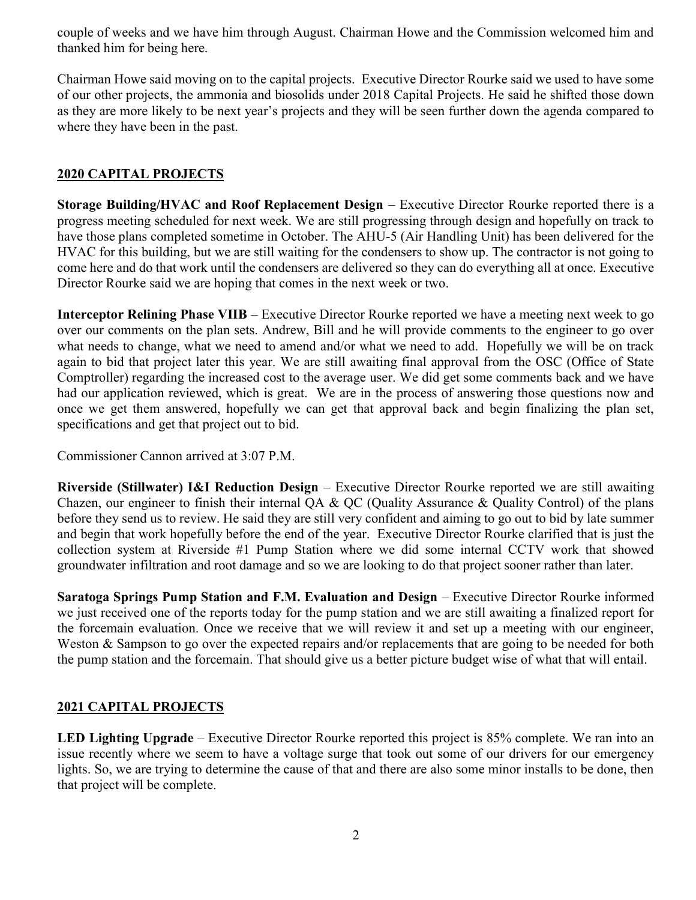couple of weeks and we have him through August. Chairman Howe and the Commission welcomed him and thanked him for being here.

Chairman Howe said moving on to the capital projects. Executive Director Rourke said we used to have some of our other projects, the ammonia and biosolids under 2018 Capital Projects. He said he shifted those down as they are more likely to be next year's projects and they will be seen further down the agenda compared to where they have been in the past.

## 2020 CAPITAL PROJECTS

Storage Building/HVAC and Roof Replacement Design – Executive Director Rourke reported there is a progress meeting scheduled for next week. We are still progressing through design and hopefully on track to have those plans completed sometime in October. The AHU-5 (Air Handling Unit) has been delivered for the HVAC for this building, but we are still waiting for the condensers to show up. The contractor is not going to come here and do that work until the condensers are delivered so they can do everything all at once. Executive Director Rourke said we are hoping that comes in the next week or two.

Interceptor Relining Phase VIIB – Executive Director Rourke reported we have a meeting next week to go over our comments on the plan sets. Andrew, Bill and he will provide comments to the engineer to go over what needs to change, what we need to amend and/or what we need to add. Hopefully we will be on track again to bid that project later this year. We are still awaiting final approval from the OSC (Office of State Comptroller) regarding the increased cost to the average user. We did get some comments back and we have had our application reviewed, which is great. We are in the process of answering those questions now and once we get them answered, hopefully we can get that approval back and begin finalizing the plan set, specifications and get that project out to bid.

Commissioner Cannon arrived at 3:07 P.M.

Riverside (Stillwater) I&I Reduction Design – Executive Director Rourke reported we are still awaiting Chazen, our engineer to finish their internal QA & QC (Quality Assurance & Quality Control) of the plans before they send us to review. He said they are still very confident and aiming to go out to bid by late summer and begin that work hopefully before the end of the year. Executive Director Rourke clarified that is just the collection system at Riverside #1 Pump Station where we did some internal CCTV work that showed groundwater infiltration and root damage and so we are looking to do that project sooner rather than later.

Saratoga Springs Pump Station and F.M. Evaluation and Design – Executive Director Rourke informed we just received one of the reports today for the pump station and we are still awaiting a finalized report for the forcemain evaluation. Once we receive that we will review it and set up a meeting with our engineer, Weston & Sampson to go over the expected repairs and/or replacements that are going to be needed for both the pump station and the forcemain. That should give us a better picture budget wise of what that will entail.

### 2021 CAPITAL PROJECTS

LED Lighting Upgrade – Executive Director Rourke reported this project is 85% complete. We ran into an issue recently where we seem to have a voltage surge that took out some of our drivers for our emergency lights. So, we are trying to determine the cause of that and there are also some minor installs to be done, then that project will be complete.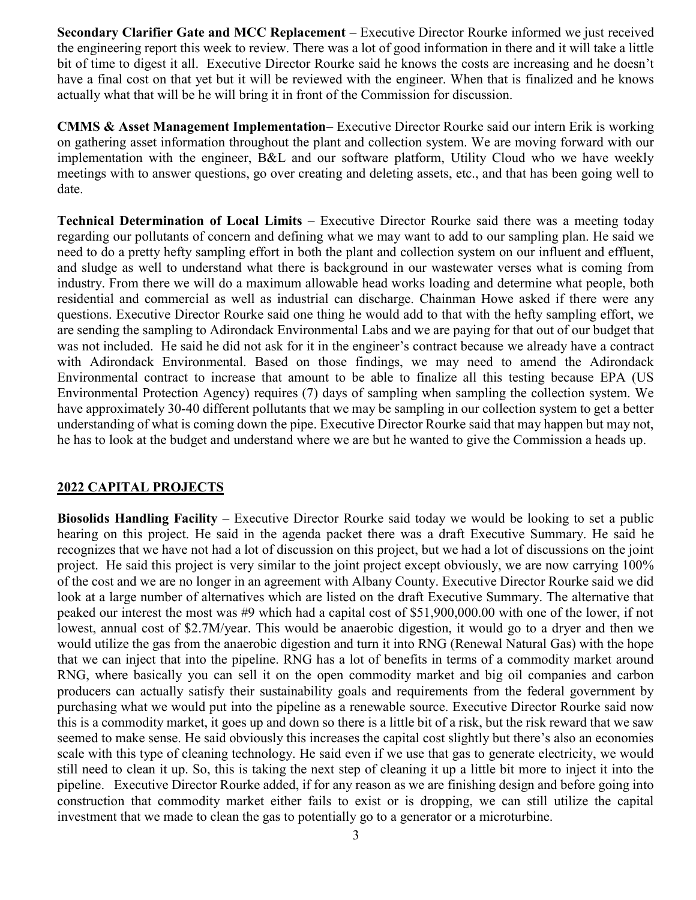Secondary Clarifier Gate and MCC Replacement – Executive Director Rourke informed we just received the engineering report this week to review. There was a lot of good information in there and it will take a little bit of time to digest it all. Executive Director Rourke said he knows the costs are increasing and he doesn't have a final cost on that yet but it will be reviewed with the engineer. When that is finalized and he knows actually what that will be he will bring it in front of the Commission for discussion.

CMMS & Asset Management Implementation– Executive Director Rourke said our intern Erik is working on gathering asset information throughout the plant and collection system. We are moving forward with our implementation with the engineer, B&L and our software platform, Utility Cloud who we have weekly meetings with to answer questions, go over creating and deleting assets, etc., and that has been going well to date.

Technical Determination of Local Limits – Executive Director Rourke said there was a meeting today regarding our pollutants of concern and defining what we may want to add to our sampling plan. He said we need to do a pretty hefty sampling effort in both the plant and collection system on our influent and effluent, and sludge as well to understand what there is background in our wastewater verses what is coming from industry. From there we will do a maximum allowable head works loading and determine what people, both residential and commercial as well as industrial can discharge. Chainman Howe asked if there were any questions. Executive Director Rourke said one thing he would add to that with the hefty sampling effort, we are sending the sampling to Adirondack Environmental Labs and we are paying for that out of our budget that was not included. He said he did not ask for it in the engineer's contract because we already have a contract with Adirondack Environmental. Based on those findings, we may need to amend the Adirondack Environmental contract to increase that amount to be able to finalize all this testing because EPA (US Environmental Protection Agency) requires (7) days of sampling when sampling the collection system. We have approximately 30-40 different pollutants that we may be sampling in our collection system to get a better understanding of what is coming down the pipe. Executive Director Rourke said that may happen but may not, he has to look at the budget and understand where we are but he wanted to give the Commission a heads up.

#### 2022 CAPITAL PROJECTS

Biosolids Handling Facility – Executive Director Rourke said today we would be looking to set a public hearing on this project. He said in the agenda packet there was a draft Executive Summary. He said he recognizes that we have not had a lot of discussion on this project, but we had a lot of discussions on the joint project. He said this project is very similar to the joint project except obviously, we are now carrying 100% of the cost and we are no longer in an agreement with Albany County. Executive Director Rourke said we did look at a large number of alternatives which are listed on the draft Executive Summary. The alternative that peaked our interest the most was #9 which had a capital cost of \$51,900,000.00 with one of the lower, if not lowest, annual cost of \$2.7M/year. This would be anaerobic digestion, it would go to a dryer and then we would utilize the gas from the anaerobic digestion and turn it into RNG (Renewal Natural Gas) with the hope that we can inject that into the pipeline. RNG has a lot of benefits in terms of a commodity market around RNG, where basically you can sell it on the open commodity market and big oil companies and carbon producers can actually satisfy their sustainability goals and requirements from the federal government by purchasing what we would put into the pipeline as a renewable source. Executive Director Rourke said now this is a commodity market, it goes up and down so there is a little bit of a risk, but the risk reward that we saw seemed to make sense. He said obviously this increases the capital cost slightly but there's also an economies scale with this type of cleaning technology. He said even if we use that gas to generate electricity, we would still need to clean it up. So, this is taking the next step of cleaning it up a little bit more to inject it into the pipeline. Executive Director Rourke added, if for any reason as we are finishing design and before going into construction that commodity market either fails to exist or is dropping, we can still utilize the capital investment that we made to clean the gas to potentially go to a generator or a microturbine.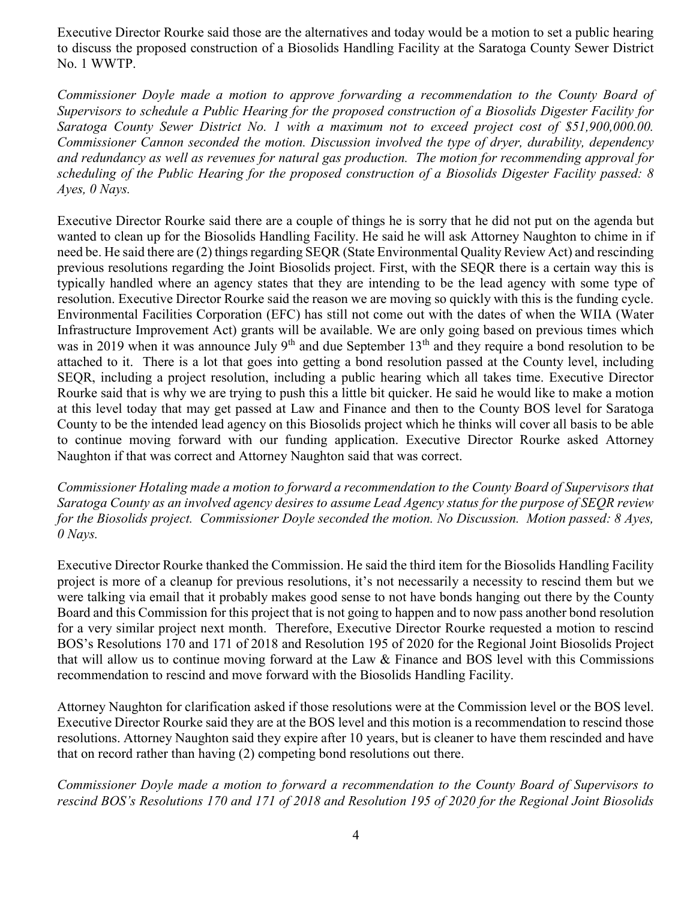Executive Director Rourke said those are the alternatives and today would be a motion to set a public hearing to discuss the proposed construction of a Biosolids Handling Facility at the Saratoga County Sewer District No. 1 WWTP.

Commissioner Doyle made a motion to approve forwarding a recommendation to the County Board of Supervisors to schedule a Public Hearing for the proposed construction of a Biosolids Digester Facility for Saratoga County Sewer District No. 1 with a maximum not to exceed project cost of \$51,900,000.00. Commissioner Cannon seconded the motion. Discussion involved the type of dryer, durability, dependency and redundancy as well as revenues for natural gas production. The motion for recommending approval for scheduling of the Public Hearing for the proposed construction of a Biosolids Digester Facility passed: 8 Ayes, 0 Nays.

Executive Director Rourke said there are a couple of things he is sorry that he did not put on the agenda but wanted to clean up for the Biosolids Handling Facility. He said he will ask Attorney Naughton to chime in if need be. He said there are (2) things regarding SEQR (State Environmental Quality Review Act) and rescinding previous resolutions regarding the Joint Biosolids project. First, with the SEQR there is a certain way this is typically handled where an agency states that they are intending to be the lead agency with some type of resolution. Executive Director Rourke said the reason we are moving so quickly with this is the funding cycle. Environmental Facilities Corporation (EFC) has still not come out with the dates of when the WIIA (Water Infrastructure Improvement Act) grants will be available. We are only going based on previous times which was in 2019 when it was announce July 9<sup>th</sup> and due September 13<sup>th</sup> and they require a bond resolution to be attached to it. There is a lot that goes into getting a bond resolution passed at the County level, including SEQR, including a project resolution, including a public hearing which all takes time. Executive Director Rourke said that is why we are trying to push this a little bit quicker. He said he would like to make a motion at this level today that may get passed at Law and Finance and then to the County BOS level for Saratoga County to be the intended lead agency on this Biosolids project which he thinks will cover all basis to be able to continue moving forward with our funding application. Executive Director Rourke asked Attorney Naughton if that was correct and Attorney Naughton said that was correct.

Commissioner Hotaling made a motion to forward a recommendation to the County Board of Supervisors that Saratoga County as an involved agency desires to assume Lead Agency status for the purpose of SEQR review for the Biosolids project. Commissioner Doyle seconded the motion. No Discussion. Motion passed: 8 Ayes, 0 Nays.

Executive Director Rourke thanked the Commission. He said the third item for the Biosolids Handling Facility project is more of a cleanup for previous resolutions, it's not necessarily a necessity to rescind them but we were talking via email that it probably makes good sense to not have bonds hanging out there by the County Board and this Commission for this project that is not going to happen and to now pass another bond resolution for a very similar project next month. Therefore, Executive Director Rourke requested a motion to rescind BOS's Resolutions 170 and 171 of 2018 and Resolution 195 of 2020 for the Regional Joint Biosolids Project that will allow us to continue moving forward at the Law & Finance and BOS level with this Commissions recommendation to rescind and move forward with the Biosolids Handling Facility.

Attorney Naughton for clarification asked if those resolutions were at the Commission level or the BOS level. Executive Director Rourke said they are at the BOS level and this motion is a recommendation to rescind those resolutions. Attorney Naughton said they expire after 10 years, but is cleaner to have them rescinded and have that on record rather than having (2) competing bond resolutions out there.

Commissioner Doyle made a motion to forward a recommendation to the County Board of Supervisors to rescind BOS's Resolutions 170 and 171 of 2018 and Resolution 195 of 2020 for the Regional Joint Biosolids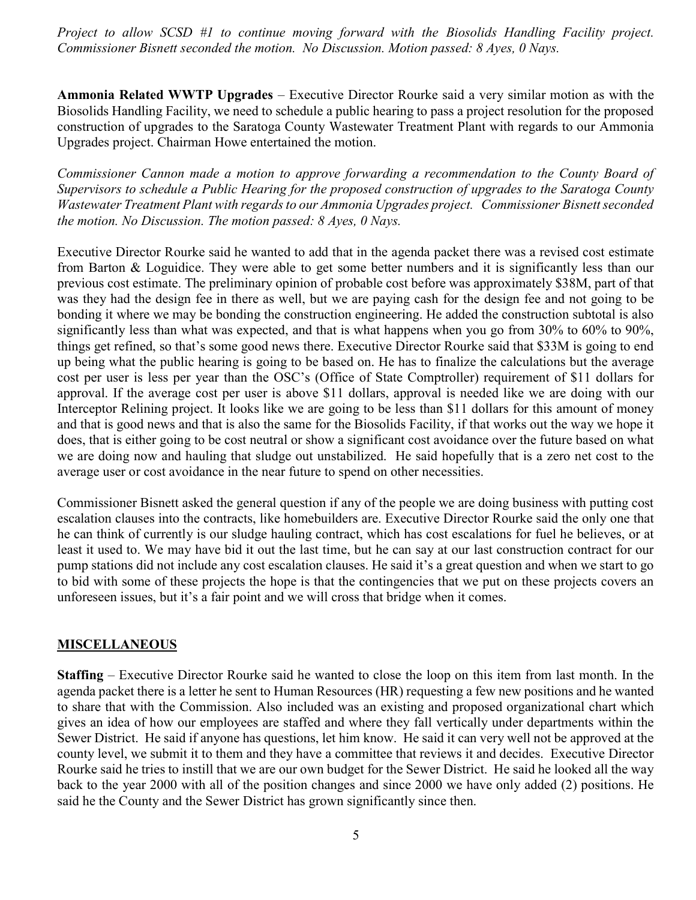Project to allow SCSD #1 to continue moving forward with the Biosolids Handling Facility project. Commissioner Bisnett seconded the motion. No Discussion. Motion passed: 8 Ayes, 0 Nays.

Ammonia Related WWTP Upgrades – Executive Director Rourke said a very similar motion as with the Biosolids Handling Facility, we need to schedule a public hearing to pass a project resolution for the proposed construction of upgrades to the Saratoga County Wastewater Treatment Plant with regards to our Ammonia Upgrades project. Chairman Howe entertained the motion.

Commissioner Cannon made a motion to approve forwarding a recommendation to the County Board of Supervisors to schedule a Public Hearing for the proposed construction of upgrades to the Saratoga County Wastewater Treatment Plant with regards to our Ammonia Upgrades project. Commissioner Bisnett seconded the motion. No Discussion. The motion passed: 8 Ayes, 0 Nays.

Executive Director Rourke said he wanted to add that in the agenda packet there was a revised cost estimate from Barton & Loguidice. They were able to get some better numbers and it is significantly less than our previous cost estimate. The preliminary opinion of probable cost before was approximately \$38M, part of that was they had the design fee in there as well, but we are paying cash for the design fee and not going to be bonding it where we may be bonding the construction engineering. He added the construction subtotal is also significantly less than what was expected, and that is what happens when you go from 30% to 60% to 90%, things get refined, so that's some good news there. Executive Director Rourke said that \$33M is going to end up being what the public hearing is going to be based on. He has to finalize the calculations but the average cost per user is less per year than the OSC's (Office of State Comptroller) requirement of \$11 dollars for approval. If the average cost per user is above \$11 dollars, approval is needed like we are doing with our Interceptor Relining project. It looks like we are going to be less than \$11 dollars for this amount of money and that is good news and that is also the same for the Biosolids Facility, if that works out the way we hope it does, that is either going to be cost neutral or show a significant cost avoidance over the future based on what we are doing now and hauling that sludge out unstabilized. He said hopefully that is a zero net cost to the average user or cost avoidance in the near future to spend on other necessities.

Commissioner Bisnett asked the general question if any of the people we are doing business with putting cost escalation clauses into the contracts, like homebuilders are. Executive Director Rourke said the only one that he can think of currently is our sludge hauling contract, which has cost escalations for fuel he believes, or at least it used to. We may have bid it out the last time, but he can say at our last construction contract for our pump stations did not include any cost escalation clauses. He said it's a great question and when we start to go to bid with some of these projects the hope is that the contingencies that we put on these projects covers an unforeseen issues, but it's a fair point and we will cross that bridge when it comes.

### **MISCELLANEOUS**

Staffing – Executive Director Rourke said he wanted to close the loop on this item from last month. In the agenda packet there is a letter he sent to Human Resources (HR) requesting a few new positions and he wanted to share that with the Commission. Also included was an existing and proposed organizational chart which gives an idea of how our employees are staffed and where they fall vertically under departments within the Sewer District. He said if anyone has questions, let him know. He said it can very well not be approved at the county level, we submit it to them and they have a committee that reviews it and decides. Executive Director Rourke said he tries to instill that we are our own budget for the Sewer District. He said he looked all the way back to the year 2000 with all of the position changes and since 2000 we have only added (2) positions. He said he the County and the Sewer District has grown significantly since then.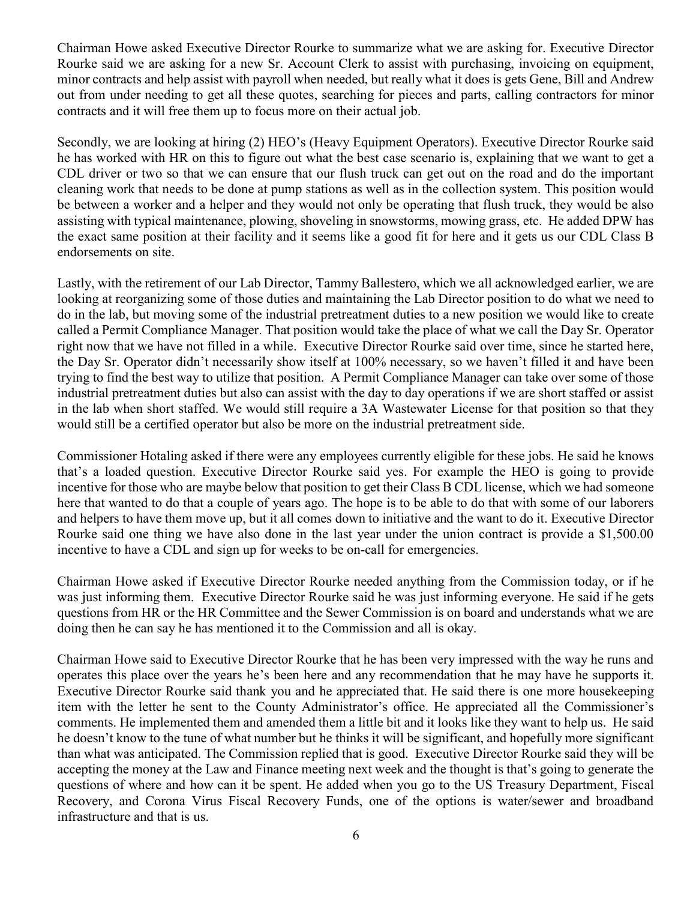Chairman Howe asked Executive Director Rourke to summarize what we are asking for. Executive Director Rourke said we are asking for a new Sr. Account Clerk to assist with purchasing, invoicing on equipment, minor contracts and help assist with payroll when needed, but really what it does is gets Gene, Bill and Andrew out from under needing to get all these quotes, searching for pieces and parts, calling contractors for minor contracts and it will free them up to focus more on their actual job.

Secondly, we are looking at hiring (2) HEO's (Heavy Equipment Operators). Executive Director Rourke said he has worked with HR on this to figure out what the best case scenario is, explaining that we want to get a CDL driver or two so that we can ensure that our flush truck can get out on the road and do the important cleaning work that needs to be done at pump stations as well as in the collection system. This position would be between a worker and a helper and they would not only be operating that flush truck, they would be also assisting with typical maintenance, plowing, shoveling in snowstorms, mowing grass, etc. He added DPW has the exact same position at their facility and it seems like a good fit for here and it gets us our CDL Class B endorsements on site.

Lastly, with the retirement of our Lab Director, Tammy Ballestero, which we all acknowledged earlier, we are looking at reorganizing some of those duties and maintaining the Lab Director position to do what we need to do in the lab, but moving some of the industrial pretreatment duties to a new position we would like to create called a Permit Compliance Manager. That position would take the place of what we call the Day Sr. Operator right now that we have not filled in a while. Executive Director Rourke said over time, since he started here, the Day Sr. Operator didn't necessarily show itself at 100% necessary, so we haven't filled it and have been trying to find the best way to utilize that position. A Permit Compliance Manager can take over some of those industrial pretreatment duties but also can assist with the day to day operations if we are short staffed or assist in the lab when short staffed. We would still require a 3A Wastewater License for that position so that they would still be a certified operator but also be more on the industrial pretreatment side.

Commissioner Hotaling asked if there were any employees currently eligible for these jobs. He said he knows that's a loaded question. Executive Director Rourke said yes. For example the HEO is going to provide incentive for those who are maybe below that position to get their Class B CDL license, which we had someone here that wanted to do that a couple of years ago. The hope is to be able to do that with some of our laborers and helpers to have them move up, but it all comes down to initiative and the want to do it. Executive Director Rourke said one thing we have also done in the last year under the union contract is provide a \$1,500.00 incentive to have a CDL and sign up for weeks to be on-call for emergencies.

Chairman Howe asked if Executive Director Rourke needed anything from the Commission today, or if he was just informing them. Executive Director Rourke said he was just informing everyone. He said if he gets questions from HR or the HR Committee and the Sewer Commission is on board and understands what we are doing then he can say he has mentioned it to the Commission and all is okay.

Chairman Howe said to Executive Director Rourke that he has been very impressed with the way he runs and operates this place over the years he's been here and any recommendation that he may have he supports it. Executive Director Rourke said thank you and he appreciated that. He said there is one more housekeeping item with the letter he sent to the County Administrator's office. He appreciated all the Commissioner's comments. He implemented them and amended them a little bit and it looks like they want to help us. He said he doesn't know to the tune of what number but he thinks it will be significant, and hopefully more significant than what was anticipated. The Commission replied that is good. Executive Director Rourke said they will be accepting the money at the Law and Finance meeting next week and the thought is that's going to generate the questions of where and how can it be spent. He added when you go to the US Treasury Department, Fiscal Recovery, and Corona Virus Fiscal Recovery Funds, one of the options is water/sewer and broadband infrastructure and that is us.